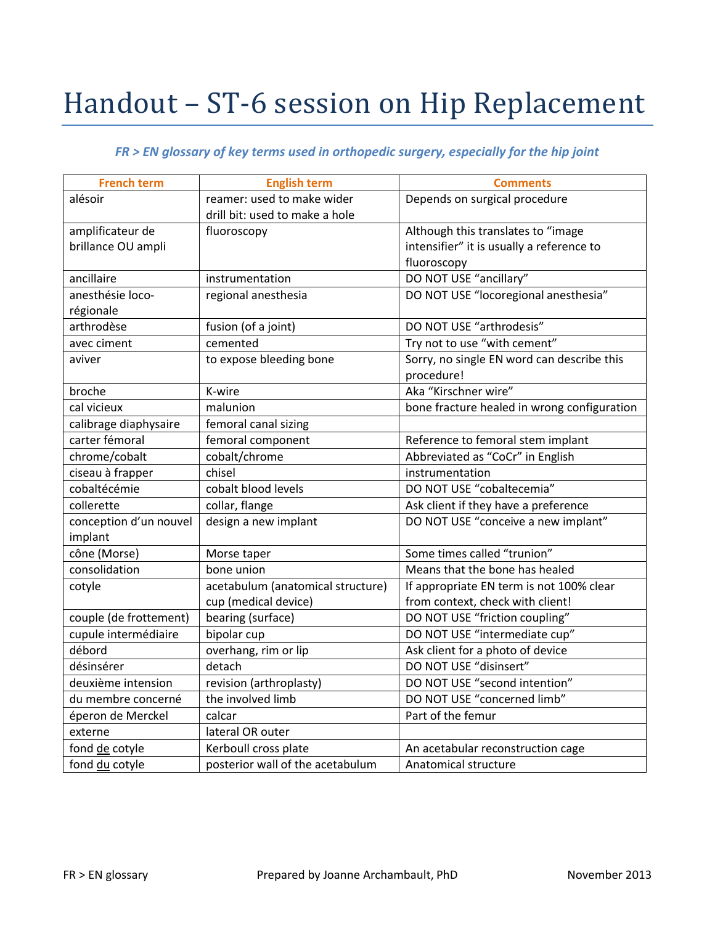## Handout - ST-6 session on Hip Replacement

## *FR > EN glossary of key terms used in orthopedic surgery, especially for the hip joint*

| <b>French term</b>     | <b>English term</b>               | <b>Comments</b>                             |
|------------------------|-----------------------------------|---------------------------------------------|
| alésoir                | reamer: used to make wider        | Depends on surgical procedure               |
|                        | drill bit: used to make a hole    |                                             |
| amplificateur de       | fluoroscopy                       | Although this translates to "image          |
| brillance OU ampli     |                                   | intensifier" it is usually a reference to   |
|                        |                                   | fluoroscopy                                 |
| ancillaire             | instrumentation                   | DO NOT USE "ancillary"                      |
| anesthésie loco-       | regional anesthesia               | DO NOT USE "locoregional anesthesia"        |
| régionale              |                                   |                                             |
| arthrodèse             | fusion (of a joint)               | DO NOT USE "arthrodesis"                    |
| avec ciment            | cemented                          | Try not to use "with cement"                |
| aviver                 | to expose bleeding bone           | Sorry, no single EN word can describe this  |
|                        |                                   | procedure!                                  |
| broche                 | K-wire                            | Aka "Kirschner wire"                        |
| cal vicieux            | malunion                          | bone fracture healed in wrong configuration |
| calibrage diaphysaire  | femoral canal sizing              |                                             |
| carter fémoral         | femoral component                 | Reference to femoral stem implant           |
| chrome/cobalt          | cobalt/chrome                     | Abbreviated as "CoCr" in English            |
| ciseau à frapper       | chisel                            | instrumentation                             |
| cobaltécémie           | cobalt blood levels               | DO NOT USE "cobaltecemia"                   |
| collerette             | collar, flange                    | Ask client if they have a preference        |
| conception d'un nouvel | design a new implant              | DO NOT USE "conceive a new implant"         |
| implant                |                                   |                                             |
| cône (Morse)           | Morse taper                       | Some times called "trunion"                 |
| consolidation          | bone union                        | Means that the bone has healed              |
| cotyle                 | acetabulum (anatomical structure) | If appropriate EN term is not 100% clear    |
|                        | cup (medical device)              | from context, check with client!            |
| couple (de frottement) | bearing (surface)                 | DO NOT USE "friction coupling"              |
| cupule intermédiaire   | bipolar cup                       | DO NOT USE "intermediate cup"               |
| débord                 | overhang, rim or lip              | Ask client for a photo of device            |
| désinsérer             | detach                            | DO NOT USE "disinsert"                      |
| deuxième intension     | revision (arthroplasty)           | DO NOT USE "second intention"               |
| du membre concerné     | the involved limb                 | DO NOT USE "concerned limb"                 |
| éperon de Merckel      | calcar                            | Part of the femur                           |
| externe                | lateral OR outer                  |                                             |
| fond de cotyle         | Kerboull cross plate              | An acetabular reconstruction cage           |
| fond du cotyle         | posterior wall of the acetabulum  | Anatomical structure                        |